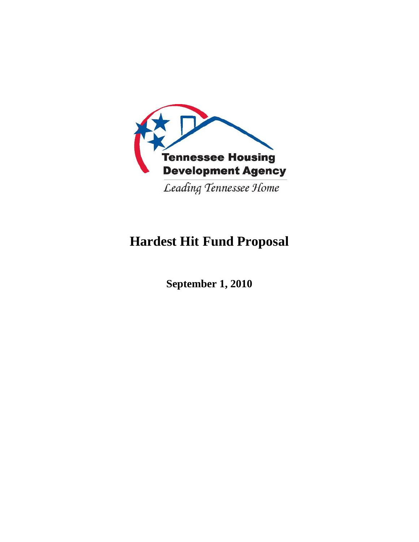

# **Hardest Hit Fund Proposal**

**September 1, 2010**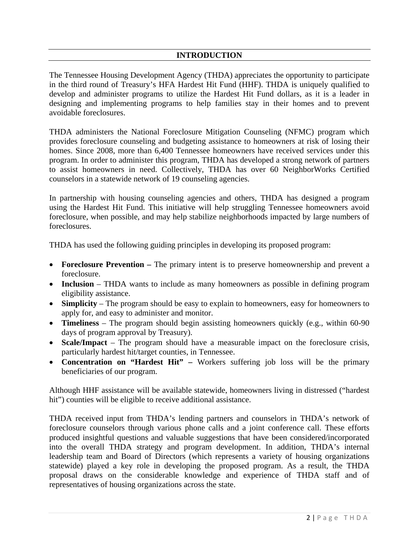## **INTRODUCTION**

The Tennessee Housing Development Agency (THDA) appreciates the opportunity to participate in the third round of Treasury's HFA Hardest Hit Fund (HHF). THDA is uniquely qualified to develop and administer programs to utilize the Hardest Hit Fund dollars, as it is a leader in designing and implementing programs to help families stay in their homes and to prevent avoidable foreclosures.

THDA administers the National Foreclosure Mitigation Counseling (NFMC) program which provides foreclosure counseling and budgeting assistance to homeowners at risk of losing their homes. Since 2008, more than 6,400 Tennessee homeowners have received services under this program. In order to administer this program, THDA has developed a strong network of partners to assist homeowners in need. Collectively, THDA has over 60 NeighborWorks Certified counselors in a statewide network of 19 counseling agencies.

In partnership with housing counseling agencies and others, THDA has designed a program using the Hardest Hit Fund. This initiative will help struggling Tennessee homeowners avoid foreclosure, when possible, and may help stabilize neighborhoods impacted by large numbers of foreclosures.

THDA has used the following guiding principles in developing its proposed program:

- **Foreclosure Prevention** The primary intent is to preserve homeownership and prevent a foreclosure.
- **Inclusion** THDA wants to include as many homeowners as possible in defining program eligibility assistance.
- **Simplicity** The program should be easy to explain to homeowners, easy for homeowners to apply for, and easy to administer and monitor.
- **Timeliness** The program should begin assisting homeowners quickly (e.g., within 60-90 days of program approval by Treasury).
- **Scale/Impact** The program should have a measurable impact on the foreclosure crisis, particularly hardest hit/target counties, in Tennessee.
- **Concentration on "Hardest Hit"** Workers suffering job loss will be the primary beneficiaries of our program.

Although HHF assistance will be available statewide, homeowners living in distressed ("hardest hit") counties will be eligible to receive additional assistance.

THDA received input from THDA's lending partners and counselors in THDA's network of foreclosure counselors through various phone calls and a joint conference call. These efforts produced insightful questions and valuable suggestions that have been considered/incorporated into the overall THDA strategy and program development. In addition, THDA's internal leadership team and Board of Directors (which represents a variety of housing organizations statewide) played a key role in developing the proposed program. As a result, the THDA proposal draws on the considerable knowledge and experience of THDA staff and of representatives of housing organizations across the state.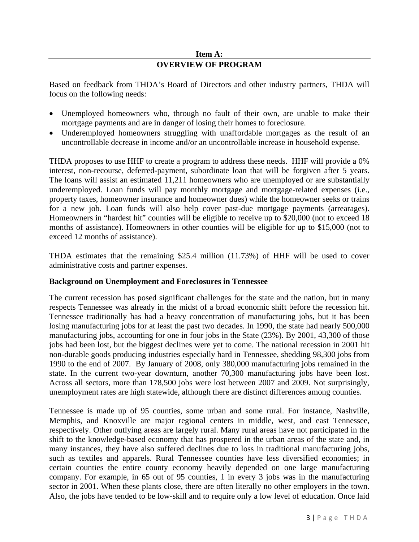## **Item A: OVERVIEW OF PROGRAM**

Based on feedback from THDA's Board of Directors and other industry partners, THDA will focus on the following needs:

- Unemployed homeowners who, through no fault of their own, are unable to make their mortgage payments and are in danger of losing their homes to foreclosure.
- Underemployed homeowners struggling with unaffordable mortgages as the result of an uncontrollable decrease in income and/or an uncontrollable increase in household expense.

THDA proposes to use HHF to create a program to address these needs. HHF will provide a 0% interest, non-recourse, deferred-payment, subordinate loan that will be forgiven after 5 years. The loans will assist an estimated 11,211 homeowners who are unemployed or are substantially underemployed. Loan funds will pay monthly mortgage and mortgage-related expenses (i.e., property taxes, homeowner insurance and homeowner dues) while the homeowner seeks or trains for a new job. Loan funds will also help cover past-due mortgage payments (arrearages). Homeowners in "hardest hit" counties will be eligible to receive up to \$20,000 (not to exceed 18 months of assistance). Homeowners in other counties will be eligible for up to \$15,000 (not to exceed 12 months of assistance).

THDA estimates that the remaining \$25.4 million (11.73%) of HHF will be used to cover administrative costs and partner expenses.

## **Background on Unemployment and Foreclosures in Tennessee**

The current recession has posed significant challenges for the state and the nation, but in many respects Tennessee was already in the midst of a broad economic shift before the recession hit. Tennessee traditionally has had a heavy concentration of manufacturing jobs, but it has been losing manufacturing jobs for at least the past two decades. In 1990, the state had nearly 500,000 manufacturing jobs, accounting for one in four jobs in the State (23%). By 2001, 43,300 of those jobs had been lost, but the biggest declines were yet to come. The national recession in 2001 hit non-durable goods producing industries especially hard in Tennessee, shedding 98,300 jobs from 1990 to the end of 2007. By January of 2008, only 380,000 manufacturing jobs remained in the state. In the current two-year downturn, another 70,300 manufacturing jobs have been lost. Across all sectors, more than 178,500 jobs were lost between 2007 and 2009. Not surprisingly, unemployment rates are high statewide, although there are distinct differences among counties.

Tennessee is made up of 95 counties, some urban and some rural. For instance, Nashville, Memphis, and Knoxville are major regional centers in middle, west, and east Tennessee, respectively. Other outlying areas are largely rural. Many rural areas have not participated in the shift to the knowledge-based economy that has prospered in the urban areas of the state and, in many instances, they have also suffered declines due to loss in traditional manufacturing jobs, such as textiles and apparels. Rural Tennessee counties have less diversified economies; in certain counties the entire county economy heavily depended on one large manufacturing company. For example, in 65 out of 95 counties, 1 in every 3 jobs was in the manufacturing sector in 2001. When these plants close, there are often literally no other employers in the town. Also, the jobs have tended to be low-skill and to require only a low level of education. Once laid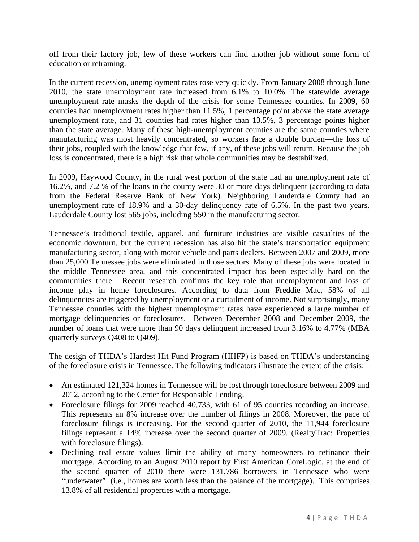off from their factory job, few of these workers can find another job without some form of education or retraining.

In the current recession, unemployment rates rose very quickly. From January 2008 through June 2010, the state unemployment rate increased from 6.1% to 10.0%. The statewide average unemployment rate masks the depth of the crisis for some Tennessee counties. In 2009, 60 counties had unemployment rates higher than 11.5%, 1 percentage point above the state average unemployment rate, and 31 counties had rates higher than 13.5%, 3 percentage points higher than the state average. Many of these high-unemployment counties are the same counties where manufacturing was most heavily concentrated, so workers face a double burden—the loss of their jobs, coupled with the knowledge that few, if any, of these jobs will return. Because the job loss is concentrated, there is a high risk that whole communities may be destabilized.

In 2009, Haywood County, in the rural west portion of the state had an unemployment rate of 16.2%, and 7.2 % of the loans in the county were 30 or more days delinquent (according to data from the Federal Reserve Bank of New York). Neighboring Lauderdale County had an unemployment rate of 18.9% and a 30-day delinquency rate of 6.5%. In the past two years, Lauderdale County lost 565 jobs, including 550 in the manufacturing sector.

Tennessee's traditional textile, apparel, and furniture industries are visible casualties of the economic downturn, but the current recession has also hit the state's transportation equipment manufacturing sector, along with motor vehicle and parts dealers. Between 2007 and 2009, more than 25,000 Tennessee jobs were eliminated in those sectors. Many of these jobs were located in the middle Tennessee area, and this concentrated impact has been especially hard on the communities there. Recent research confirms the key role that unemployment and loss of income play in home foreclosures. According to data from Freddie Mac, 58% of all delinquencies are triggered by unemployment or a curtailment of income. Not surprisingly, many Tennessee counties with the highest unemployment rates have experienced a large number of mortgage delinquencies or foreclosures. Between December 2008 and December 2009, the number of loans that were more than 90 days delinquent increased from 3.16% to 4.77% (MBA quarterly surveys Q408 to Q409).

The design of THDA's Hardest Hit Fund Program (HHFP) is based on THDA's understanding of the foreclosure crisis in Tennessee. The following indicators illustrate the extent of the crisis:

- An estimated 121,324 homes in Tennessee will be lost through foreclosure between 2009 and 2012, according to the Center for Responsible Lending.
- Foreclosure filings for 2009 reached 40,733, with 61 of 95 counties recording an increase. This represents an 8% increase over the number of filings in 2008. Moreover, the pace of foreclosure filings is increasing. For the second quarter of 2010, the 11,944 foreclosure filings represent a 14% increase over the second quarter of 2009. (RealtyTrac: Properties with foreclosure filings).
- Declining real estate values limit the ability of many homeowners to refinance their mortgage. According to an August 2010 report by First American CoreLogic, at the end of the second quarter of 2010 there were 131,786 borrowers in Tennessee who were "underwater" (i.e., homes are worth less than the balance of the mortgage). This comprises 13.8% of all residential properties with a mortgage.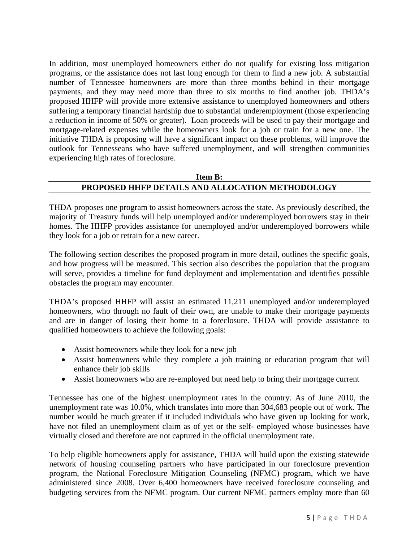In addition, most unemployed homeowners either do not qualify for existing loss mitigation programs, or the assistance does not last long enough for them to find a new job. A substantial number of Tennessee homeowners are more than three months behind in their mortgage payments, and they may need more than three to six months to find another job. THDA's proposed HHFP will provide more extensive assistance to unemployed homeowners and others suffering a temporary financial hardship due to substantial underemployment (those experiencing a reduction in income of 50% or greater). Loan proceeds will be used to pay their mortgage and mortgage-related expenses while the homeowners look for a job or train for a new one. The initiative THDA is proposing will have a significant impact on these problems, will improve the outlook for Tennesseans who have suffered unemployment, and will strengthen communities experiencing high rates of foreclosure.

## **Item B: PROPOSED HHFP DETAILS AND ALLOCATION METHODOLOGY**

THDA proposes one program to assist homeowners across the state. As previously described, the majority of Treasury funds will help unemployed and/or underemployed borrowers stay in their homes. The HHFP provides assistance for unemployed and/or underemployed borrowers while they look for a job or retrain for a new career.

The following section describes the proposed program in more detail, outlines the specific goals, and how progress will be measured. This section also describes the population that the program will serve, provides a timeline for fund deployment and implementation and identifies possible obstacles the program may encounter.

THDA's proposed HHFP will assist an estimated 11,211 unemployed and/or underemployed homeowners, who through no fault of their own, are unable to make their mortgage payments and are in danger of losing their home to a foreclosure. THDA will provide assistance to qualified homeowners to achieve the following goals:

- Assist homeowners while they look for a new job
- Assist homeowners while they complete a job training or education program that will enhance their job skills
- Assist homeowners who are re-employed but need help to bring their mortgage current

Tennessee has one of the highest unemployment rates in the country. As of June 2010, the unemployment rate was 10.0%, which translates into more than 304,683 people out of work. The number would be much greater if it included individuals who have given up looking for work, have not filed an unemployment claim as of yet or the self- employed whose businesses have virtually closed and therefore are not captured in the official unemployment rate.

To help eligible homeowners apply for assistance, THDA will build upon the existing statewide network of housing counseling partners who have participated in our foreclosure prevention program, the National Foreclosure Mitigation Counseling (NFMC) program, which we have administered since 2008. Over 6,400 homeowners have received foreclosure counseling and budgeting services from the NFMC program. Our current NFMC partners employ more than 60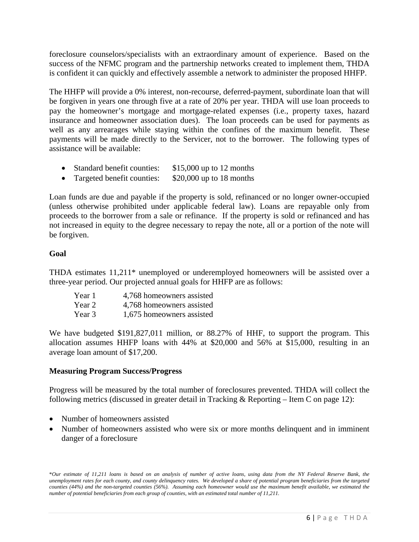foreclosure counselors/specialists with an extraordinary amount of experience. Based on the success of the NFMC program and the partnership networks created to implement them, THDA is confident it can quickly and effectively assemble a network to administer the proposed HHFP.

The HHFP will provide a 0% interest, non-recourse, deferred-payment, subordinate loan that will be forgiven in years one through five at a rate of 20% per year. THDA will use loan proceeds to pay the homeowner's mortgage and mortgage-related expenses (i.e., property taxes, hazard insurance and homeowner association dues). The loan proceeds can be used for payments as well as any arrearages while staying within the confines of the maximum benefit. These payments will be made directly to the Servicer, not to the borrower. The following types of assistance will be available:

- Standard benefit counties: \$15,000 up to 12 months
- Targeted benefit counties: \$20,000 up to 18 months

Loan funds are due and payable if the property is sold, refinanced or no longer owner-occupied (unless otherwise prohibited under applicable federal law). Loans are repayable only from proceeds to the borrower from a sale or refinance. If the property is sold or refinanced and has not increased in equity to the degree necessary to repay the note, all or a portion of the note will be forgiven.

## **Goal**

THDA estimates 11,211\* unemployed or underemployed homeowners will be assisted over a three-year period. Our projected annual goals for HHFP are as follows:

| Year 1 | 4,768 homeowners assisted |
|--------|---------------------------|
| Year 2 | 4,768 homeowners assisted |
| Year 3 | 1,675 homeowners assisted |

We have budgeted \$191,827,011 million, or 88.27% of HHF, to support the program. This allocation assumes HHFP loans with 44% at \$20,000 and 56% at \$15,000, resulting in an average loan amount of \$17,200.

#### **Measuring Program Success/Progress**

Progress will be measured by the total number of foreclosures prevented. THDA will collect the following metrics (discussed in greater detail in Tracking & Reporting – Item C on page 12):

- Number of homeowners assisted
- Number of homeowners assisted who were six or more months delinquent and in imminent danger of a foreclosure

<sup>\*</sup>*Our estimate of 11,211 loans is based on an analysis of number of active loans, using data from the NY Federal Reserve Bank, the unemployment rates for each county, and county delinquency rates. We developed a share of potential program beneficiaries from the targeted counties (44%) and the non-targeted counties (56%). Assuming each homeowner would use the maximum benefit available, we estimated the number of potential beneficiaries from each group of counties, with an estimated total number of 11,211.*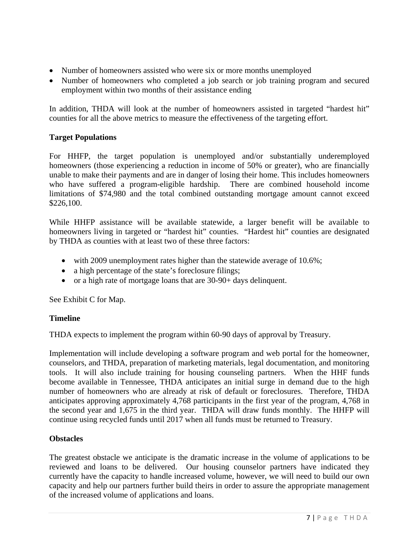- Number of homeowners assisted who were six or more months unemployed
- Number of homeowners who completed a job search or job training program and secured employment within two months of their assistance ending

In addition, THDA will look at the number of homeowners assisted in targeted "hardest hit" counties for all the above metrics to measure the effectiveness of the targeting effort.

## **Target Populations**

For HHFP, the target population is unemployed and/or substantially underemployed homeowners (those experiencing a reduction in income of 50% or greater), who are financially unable to make their payments and are in danger of losing their home. This includes homeowners who have suffered a program-eligible hardship. There are combined household income limitations of \$74,980 and the total combined outstanding mortgage amount cannot exceed \$226,100.

While HHFP assistance will be available statewide, a larger benefit will be available to homeowners living in targeted or "hardest hit" counties. "Hardest hit" counties are designated by THDA as counties with at least two of these three factors:

- with 2009 unemployment rates higher than the statewide average of 10.6%;
- a high percentage of the state's foreclosure filings;
- or a high rate of mortgage loans that are 30-90+ days delinquent.

See Exhibit C for Map.

## **Timeline**

THDA expects to implement the program within 60-90 days of approval by Treasury.

Implementation will include developing a software program and web portal for the homeowner, counselors, and THDA, preparation of marketing materials, legal documentation, and monitoring tools. It will also include training for housing counseling partners. When the HHF funds become available in Tennessee, THDA anticipates an initial surge in demand due to the high number of homeowners who are already at risk of default or foreclosures. Therefore, THDA anticipates approving approximately 4,768 participants in the first year of the program, 4,768 in the second year and 1,675 in the third year. THDA will draw funds monthly. The HHFP will continue using recycled funds until 2017 when all funds must be returned to Treasury.

## **Obstacles**

The greatest obstacle we anticipate is the dramatic increase in the volume of applications to be reviewed and loans to be delivered. Our housing counselor partners have indicated they currently have the capacity to handle increased volume, however, we will need to build our own capacity and help our partners further build theirs in order to assure the appropriate management of the increased volume of applications and loans.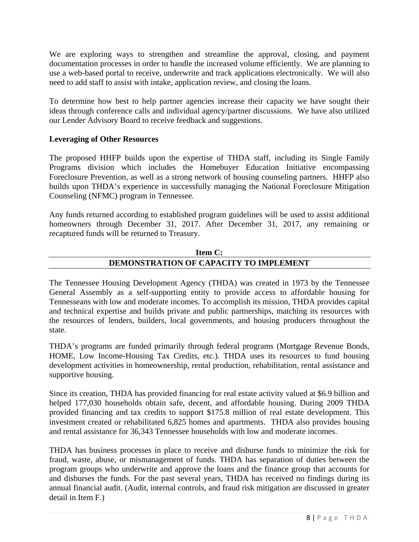We are exploring ways to strengthen and streamline the approval, closing, and payment documentation processes in order to handle the increased volume efficiently. We are planning to use a web-based portal to receive, underwrite and track applications electronically. We will also need to add staff to assist with intake, application review, and closing the loans.

To determine how best to help partner agencies increase their capacity we have sought their ideas through conference calls and individual agency/partner discussions. We have also utilized our Lender Advisory Board to receive feedback and suggestions.

## **Leveraging of Other Resources**

The proposed HHFP builds upon the expertise of THDA staff, including its Single Family Programs division which includes the Homebuyer Education Initiative encompassing Foreclosure Prevention, as well as a strong network of housing counseling partners. HHFP also builds upon THDA's experience in successfully managing the National Foreclosure Mitigation Counseling (NFMC) program in Tennessee.

Any funds returned according to established program guidelines will be used to assist additional homeowners through December 31, 2017. After December 31, 2017, any remaining or recaptured funds will be returned to Treasury.

# **Item C: DEMONSTRATION OF CAPACITY TO IMPLEMENT**

The Tennessee Housing Development Agency (THDA) was created in 1973 by the Tennessee General Assembly as a self-supporting entity to provide access to affordable housing for Tennesseans with low and moderate incomes. To accomplish its mission, THDA provides capital and technical expertise and builds private and public partnerships, matching its resources with the resources of lenders, builders, local governments, and housing producers throughout the state.

THDA's programs are funded primarily through federal programs (Mortgage Revenue Bonds, HOME, Low Income-Housing Tax Credits, etc.). THDA uses its resources to fund housing development activities in homeownership, rental production, rehabilitation, rental assistance and supportive housing.

Since its creation, THDA has provided financing for real estate activity valued at \$6.9 billion and helped 177,030 households obtain safe, decent, and affordable housing. During 2009 THDA provided financing and tax credits to support \$175.8 million of real estate development. This investment created or rehabilitated 6,825 homes and apartments. THDA also provides housing and rental assistance for 36,343 Tennessee households with low and moderate incomes.

THDA has business processes in place to receive and disburse funds to minimize the risk for fraud, waste, abuse, or mismanagement of funds. THDA has separation of duties between the program groups who underwrite and approve the loans and the finance group that accounts for and disburses the funds. For the past several years, THDA has received no findings during its annual financial audit. (Audit, internal controls, and fraud risk mitigation are discussed in greater detail in Item F.)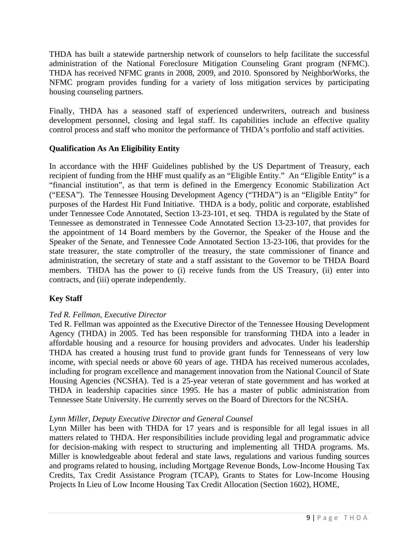THDA has built a statewide partnership network of counselors to help facilitate the successful administration of the National Foreclosure Mitigation Counseling Grant program (NFMC). THDA has received NFMC grants in 2008, 2009, and 2010. Sponsored by NeighborWorks, the NFMC program provides funding for a variety of loss mitigation services by participating housing counseling partners.

Finally, THDA has a seasoned staff of experienced underwriters, outreach and business development personnel, closing and legal staff. Its capabilities include an effective quality control process and staff who monitor the performance of THDA's portfolio and staff activities.

## **Qualification As An Eligibility Entity**

In accordance with the HHF Guidelines published by the US Department of Treasury, each recipient of funding from the HHF must qualify as an "Eligible Entity." An "Eligible Entity" is a "financial institution", as that term is defined in the Emergency Economic Stabilization Act ("EESA"). The Tennessee Housing Development Agency ("THDA") is an "Eligible Entity" for purposes of the Hardest Hit Fund Initiative. THDA is a body, politic and corporate, established under Tennessee Code Annotated, Section 13-23-101, et seq. THDA is regulated by the State of Tennessee as demonstrated in Tennessee Code Annotated Section 13-23-107, that provides for the appointment of 14 Board members by the Governor, the Speaker of the House and the Speaker of the Senate, and Tennessee Code Annotated Section 13-23-106, that provides for the state treasurer, the state comptroller of the treasury, the state commissioner of finance and administration, the secretary of state and a staff assistant to the Governor to be THDA Board members. THDA has the power to (i) receive funds from the US Treasury, (ii) enter into contracts, and (iii) operate independently.

## **Key Staff**

## *Ted R. Fellman, Executive Director*

Ted R. Fellman was appointed as the Executive Director of the Tennessee Housing Development Agency (THDA) in 2005. Ted has been responsible for transforming THDA into a leader in affordable housing and a resource for housing providers and advocates. Under his leadership THDA has created a housing trust fund to provide grant funds for Tennesseans of very low income, with special needs or above 60 years of age. THDA has received numerous accolades, including for program excellence and management innovation from the National Council of State Housing Agencies (NCSHA). Ted is a 25-year veteran of state government and has worked at THDA in leadership capacities since 1995. He has a master of public administration from Tennessee State University. He currently serves on the Board of Directors for the NCSHA.

## *Lynn Miller, Deputy Executive Director and General Counsel*

Lynn Miller has been with THDA for 17 years and is responsible for all legal issues in all matters related to THDA. Her responsibilities include providing legal and programmatic advice for decision-making with respect to structuring and implementing all THDA programs. Ms. Miller is knowledgeable about federal and state laws, regulations and various funding sources and programs related to housing, including Mortgage Revenue Bonds, Low-Income Housing Tax Credits, Tax Credit Assistance Program (TCAP), Grants to States for Low-Income Housing Projects In Lieu of Low Income Housing Tax Credit Allocation (Section 1602), HOME,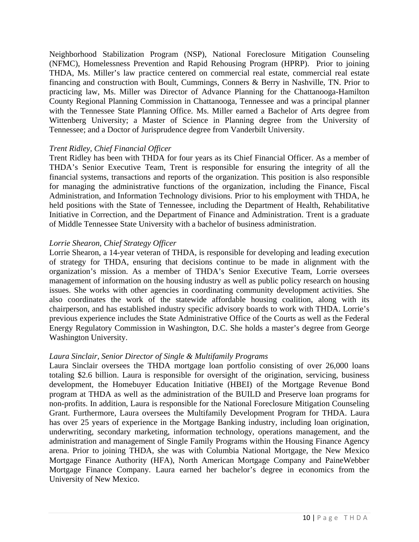Neighborhood Stabilization Program (NSP), National Foreclosure Mitigation Counseling (NFMC), Homelessness Prevention and Rapid Rehousing Program (HPRP). Prior to joining THDA, Ms. Miller's law practice centered on commercial real estate, commercial real estate financing and construction with Boult, Cummings, Conners & Berry in Nashville, TN. Prior to practicing law, Ms. Miller was Director of Advance Planning for the Chattanooga-Hamilton County Regional Planning Commission in Chattanooga, Tennessee and was a principal planner with the Tennessee State Planning Office. Ms. Miller earned a Bachelor of Arts degree from Wittenberg University; a Master of Science in Planning degree from the University of Tennessee; and a Doctor of Jurisprudence degree from Vanderbilt University.

#### *Trent Ridley, Chief Financial Officer*

Trent Ridley has been with THDA for four years as its Chief Financial Officer. As a member of THDA's Senior Executive Team, Trent is responsible for ensuring the integrity of all the financial systems, transactions and reports of the organization. This position is also responsible for managing the administrative functions of the organization, including the Finance, Fiscal Administration, and Information Technology divisions. Prior to his employment with THDA, he held positions with the State of Tennessee, including the Department of Health, Rehabilitative Initiative in Correction, and the Department of Finance and Administration. Trent is a graduate of Middle Tennessee State University with a bachelor of business administration.

#### *Lorrie Shearon, Chief Strategy Officer*

Lorrie Shearon, a 14-year veteran of THDA, is responsible for developing and leading execution of strategy for THDA, ensuring that decisions continue to be made in alignment with the organization's mission. As a member of THDA's Senior Executive Team, Lorrie oversees management of information on the housing industry as well as public policy research on housing issues. She works with other agencies in coordinating community development activities. She also coordinates the work of the statewide affordable housing coalition, along with its chairperson, and has established industry specific advisory boards to work with THDA. Lorrie's previous experience includes the State Administrative Office of the Courts as well as the Federal Energy Regulatory Commission in Washington, D.C. She holds a master's degree from George Washington University.

#### *Laura Sinclair, Senior Director of Single & Multifamily Programs*

Laura Sinclair oversees the THDA mortgage loan portfolio consisting of over 26,000 loans totaling \$2.6 billion. Laura is responsible for oversight of the origination, servicing, business development, the Homebuyer Education Initiative (HBEI) of the Mortgage Revenue Bond program at THDA as well as the administration of the BUILD and Preserve loan programs for non-profits. In addition, Laura is responsible for the National Foreclosure Mitigation Counseling Grant. Furthermore, Laura oversees the Multifamily Development Program for THDA. Laura has over 25 years of experience in the Mortgage Banking industry, including loan origination, underwriting, secondary marketing, information technology, operations management, and the administration and management of Single Family Programs within the Housing Finance Agency arena. Prior to joining THDA, she was with Columbia National Mortgage, the New Mexico Mortgage Finance Authority (HFA), North American Mortgage Company and PaineWebber Mortgage Finance Company. Laura earned her bachelor's degree in economics from the University of New Mexico.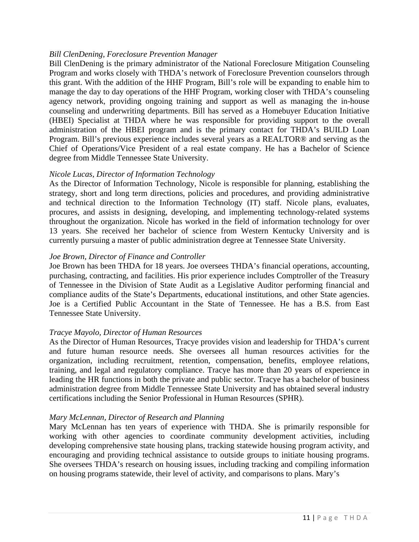## *Bill ClenDening, Foreclosure Prevention Manager*

Bill ClenDening is the primary administrator of the National Foreclosure Mitigation Counseling Program and works closely with THDA's network of Foreclosure Prevention counselors through this grant. With the addition of the HHF Program, Bill's role will be expanding to enable him to manage the day to day operations of the HHF Program, working closer with THDA's counseling agency network, providing ongoing training and support as well as managing the in-house counseling and underwriting departments. Bill has served as a Homebuyer Education Initiative (HBEI) Specialist at THDA where he was responsible for providing support to the overall administration of the HBEI program and is the primary contact for THDA's BUILD Loan Program. Bill's previous experience includes several years as a REALTOR® and serving as the Chief of Operations/Vice President of a real estate company. He has a Bachelor of Science degree from Middle Tennessee State University.

#### *Nicole Lucas, Director of Information Technology*

As the Director of Information Technology, Nicole is responsible for planning, establishing the strategy, short and long term directions, policies and procedures, and providing administrative and technical direction to the Information Technology (IT) staff. Nicole plans, evaluates, procures, and assists in designing, developing, and implementing technology-related systems throughout the organization. Nicole has worked in the field of information technology for over 13 years. She received her bachelor of science from Western Kentucky University and is currently pursuing a master of public administration degree at Tennessee State University.

#### *Joe Brown, Director of Finance and Controller*

Joe Brown has been THDA for 18 years. Joe oversees THDA's financial operations, accounting, purchasing, contracting, and facilities. His prior experience includes Comptroller of the Treasury of Tennessee in the Division of State Audit as a Legislative Auditor performing financial and compliance audits of the State's Departments, educational institutions, and other State agencies. Joe is a Certified Public Accountant in the State of Tennessee. He has a B.S. from East Tennessee State University.

#### *Tracye Mayolo, Director of Human Resources*

As the Director of Human Resources, Tracye provides vision and leadership for THDA's current and future human resource needs. She oversees all human resources activities for the organization, including recruitment, retention, compensation, benefits, employee relations, training, and legal and regulatory compliance. Tracye has more than 20 years of experience in leading the HR functions in both the private and public sector. Tracye has a bachelor of business administration degree from Middle Tennessee State University and has obtained several industry certifications including the Senior Professional in Human Resources (SPHR).

#### *Mary McLennan, Director of Research and Planning*

Mary McLennan has ten years of experience with THDA. She is primarily responsible for working with other agencies to coordinate community development activities, including developing comprehensive state housing plans, tracking statewide housing program activity, and encouraging and providing technical assistance to outside groups to initiate housing programs. She oversees THDA's research on housing issues, including tracking and compiling information on housing programs statewide, their level of activity, and comparisons to plans. Mary's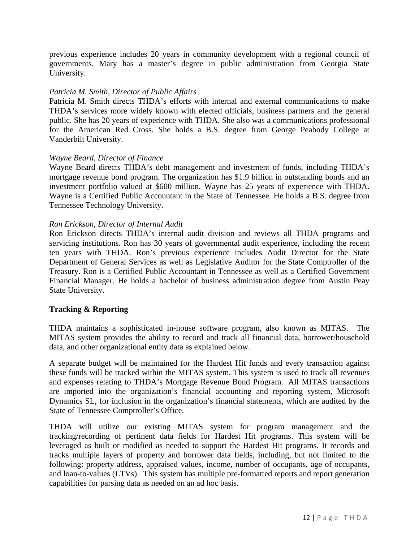previous experience includes 20 years in community development with a regional council of governments. Mary has a master's degree in public administration from Georgia State University.

#### *Patricia M. Smith, Director of Public Affairs*

Patricia M. Smith directs THDA's efforts with internal and external communications to make THDA's services more widely known with elected officials, business partners and the general public. She has 20 years of experience with THDA. She also was a communications professional for the American Red Cross. She holds a B.S. degree from George Peabody College at Vanderbilt University.

#### *Wayne Beard, Director of Finance*

Wayne Beard directs THDA's debt management and investment of funds, including THDA's mortgage revenue bond program. The organization has \$1.9 billion in outstanding bonds and an investment portfolio valued at \$600 million. Wayne has 25 years of experience with THDA. Wayne is a Certified Public Accountant in the State of Tennessee. He holds a B.S. degree from Tennessee Technology University.

#### *Ron Erickson, Director of Internal Audit*

Ron Erickson directs THDA's internal audit division and reviews all THDA programs and servicing institutions. Ron has 30 years of governmental audit experience, including the recent ten years with THDA. Ron's previous experience includes Audit Director for the State Department of General Services as well as Legislative Auditor for the State Comptroller of the Treasury. Ron is a Certified Public Accountant in Tennessee as well as a Certified Government Financial Manager. He holds a bachelor of business administration degree from Austin Peay State University.

#### **Tracking & Reporting**

THDA maintains a sophisticated in-house software program, also known as MITAS. The MITAS system provides the ability to record and track all financial data, borrower/household data, and other organizational entity data as explained below.

A separate budget will be maintained for the Hardest Hit funds and every transaction against these funds will be tracked within the MITAS system. This system is used to track all revenues and expenses relating to THDA's Mortgage Revenue Bond Program. All MITAS transactions are imported into the organization's financial accounting and reporting system, Microsoft Dynamics SL, for inclusion in the organization's financial statements, which are audited by the State of Tennessee Comptroller's Office.

THDA will utilize our existing MITAS system for program management and the tracking/recording of pertinent data fields for Hardest Hit programs. This system will be leveraged as built or modified as needed to support the Hardest Hit programs. It records and tracks multiple layers of property and borrower data fields, including, but not limited to the following: property address, appraised values, income, number of occupants, age of occupants, and loan-to-values (LTVs). This system has multiple pre-formatted reports and report generation capabilities for parsing data as needed on an ad hoc basis.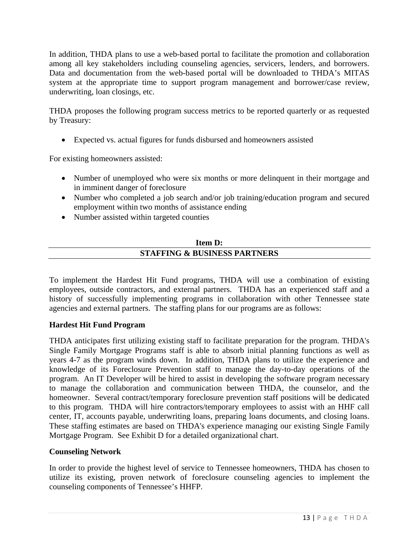In addition, THDA plans to use a web-based portal to facilitate the promotion and collaboration among all key stakeholders including counseling agencies, servicers, lenders, and borrowers. Data and documentation from the web-based portal will be downloaded to THDA's MITAS system at the appropriate time to support program management and borrower/case review, underwriting, loan closings, etc.

THDA proposes the following program success metrics to be reported quarterly or as requested by Treasury:

• Expected vs. actual figures for funds disbursed and homeowners assisted

For existing homeowners assisted:

- Number of unemployed who were six months or more delinquent in their mortgage and in imminent danger of foreclosure
- Number who completed a job search and/or job training/education program and secured employment within two months of assistance ending
- Number assisted within targeted counties

## **Item D: STAFFING & BUSINESS PARTNERS**

To implement the Hardest Hit Fund programs, THDA will use a combination of existing employees, outside contractors, and external partners. THDA has an experienced staff and a history of successfully implementing programs in collaboration with other Tennessee state agencies and external partners. The staffing plans for our programs are as follows:

## **Hardest Hit Fund Program**

THDA anticipates first utilizing existing staff to facilitate preparation for the program. THDA's Single Family Mortgage Programs staff is able to absorb initial planning functions as well as years 4-7 as the program winds down. In addition, THDA plans to utilize the experience and knowledge of its Foreclosure Prevention staff to manage the day-to-day operations of the program. An IT Developer will be hired to assist in developing the software program necessary to manage the collaboration and communication between THDA, the counselor, and the homeowner. Several contract/temporary foreclosure prevention staff positions will be dedicated to this program. THDA will hire contractors/temporary employees to assist with an HHF call center, IT, accounts payable, underwriting loans, preparing loans documents, and closing loans. These staffing estimates are based on THDA's experience managing our existing Single Family Mortgage Program. See Exhibit D for a detailed organizational chart.

#### **Counseling Network**

In order to provide the highest level of service to Tennessee homeowners, THDA has chosen to utilize its existing, proven network of foreclosure counseling agencies to implement the counseling components of Tennessee's HHFP.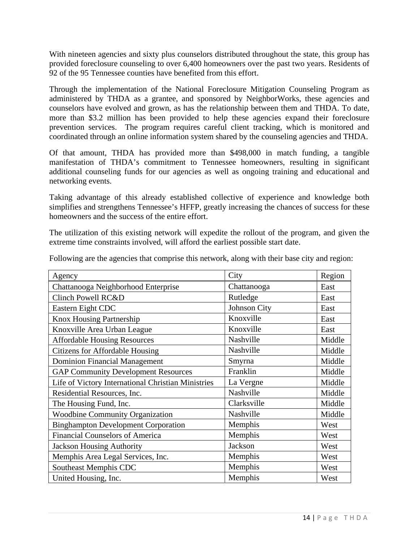With nineteen agencies and sixty plus counselors distributed throughout the state, this group has provided foreclosure counseling to over 6,400 homeowners over the past two years. Residents of 92 of the 95 Tennessee counties have benefited from this effort.

Through the implementation of the National Foreclosure Mitigation Counseling Program as administered by THDA as a grantee, and sponsored by NeighborWorks, these agencies and counselors have evolved and grown, as has the relationship between them and THDA. To date, more than \$3.2 million has been provided to help these agencies expand their foreclosure prevention services. The program requires careful client tracking, which is monitored and coordinated through an online information system shared by the counseling agencies and THDA.

Of that amount, THDA has provided more than \$498,000 in match funding, a tangible manifestation of THDA's commitment to Tennessee homeowners, resulting in significant additional counseling funds for our agencies as well as ongoing training and educational and networking events.

Taking advantage of this already established collective of experience and knowledge both simplifies and strengthens Tennessee's HFFP, greatly increasing the chances of success for these homeowners and the success of the entire effort.

The utilization of this existing network will expedite the rollout of the program, and given the extreme time constraints involved, will afford the earliest possible start date.

| Agency                                             | City         | Region |
|----------------------------------------------------|--------------|--------|
| Chattanooga Neighborhood Enterprise                | Chattanooga  | East   |
| Clinch Powell RC&D                                 | Rutledge     | East   |
| Eastern Eight CDC                                  | Johnson City | East   |
| Knox Housing Partnership                           | Knoxville    | East   |
| Knoxville Area Urban League                        | Knoxville    | East   |
| <b>Affordable Housing Resources</b>                | Nashville    | Middle |
| <b>Citizens for Affordable Housing</b>             | Nashville    | Middle |
| <b>Dominion Financial Management</b>               | Smyrna       | Middle |
| <b>GAP Community Development Resources</b>         | Franklin     | Middle |
| Life of Victory International Christian Ministries | La Vergne    | Middle |
| Residential Resources, Inc.                        | Nashville    | Middle |
| The Housing Fund, Inc.                             | Clarksville  | Middle |
| Woodbine Community Organization                    | Nashville    | Middle |
| <b>Binghampton Development Corporation</b>         | Memphis      | West   |
| <b>Financial Counselors of America</b>             | Memphis      | West   |
| <b>Jackson Housing Authority</b>                   | Jackson      | West   |
| Memphis Area Legal Services, Inc.                  | Memphis      | West   |
| Southeast Memphis CDC                              | Memphis      | West   |
| United Housing, Inc.                               | Memphis      | West   |

Following are the agencies that comprise this network, along with their base city and region: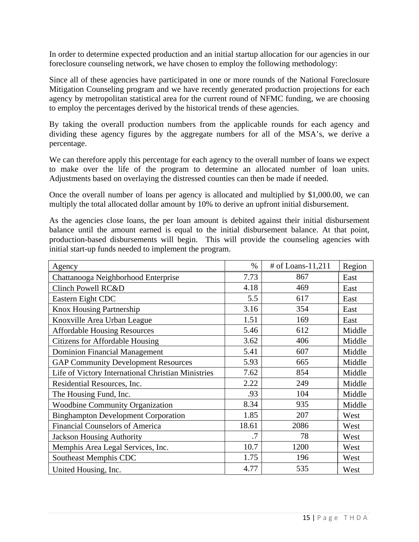In order to determine expected production and an initial startup allocation for our agencies in our foreclosure counseling network, we have chosen to employ the following methodology:

Since all of these agencies have participated in one or more rounds of the National Foreclosure Mitigation Counseling program and we have recently generated production projections for each agency by metropolitan statistical area for the current round of NFMC funding, we are choosing to employ the percentages derived by the historical trends of these agencies.

By taking the overall production numbers from the applicable rounds for each agency and dividing these agency figures by the aggregate numbers for all of the MSA's, we derive a percentage.

We can therefore apply this percentage for each agency to the overall number of loans we expect to make over the life of the program to determine an allocated number of loan units. Adjustments based on overlaying the distressed counties can then be made if needed.

Once the overall number of loans per agency is allocated and multiplied by \$1,000.00, we can multiply the total allocated dollar amount by 10% to derive an upfront initial disbursement.

As the agencies close loans, the per loan amount is debited against their initial disbursement balance until the amount earned is equal to the initial disbursement balance. At that point, production-based disbursements will begin. This will provide the counseling agencies with initial start-up funds needed to implement the program.

| Agency                                             | $\%$  | # of Loans-11,211 | Region |
|----------------------------------------------------|-------|-------------------|--------|
| Chattanooga Neighborhood Enterprise                | 7.73  | 867               | East   |
| Clinch Powell RC&D                                 | 4.18  | 469               | East   |
| Eastern Eight CDC                                  | 5.5   | 617               | East   |
| <b>Knox Housing Partnership</b>                    | 3.16  | 354               | East   |
| Knoxville Area Urban League                        | 1.51  | 169               | East   |
| <b>Affordable Housing Resources</b>                | 5.46  | 612               | Middle |
| <b>Citizens for Affordable Housing</b>             | 3.62  | 406               | Middle |
| <b>Dominion Financial Management</b>               | 5.41  | 607               | Middle |
| <b>GAP Community Development Resources</b>         | 5.93  | 665               | Middle |
| Life of Victory International Christian Ministries | 7.62  | 854               | Middle |
| Residential Resources, Inc.                        | 2.22  | 249               | Middle |
| The Housing Fund, Inc.                             | .93   | 104               | Middle |
| <b>Woodbine Community Organization</b>             | 8.34  | 935               | Middle |
| <b>Binghampton Development Corporation</b>         | 1.85  | 207               | West   |
| <b>Financial Counselors of America</b>             | 18.61 | 2086              | West   |
| <b>Jackson Housing Authority</b>                   | .7    | 78                | West   |
| Memphis Area Legal Services, Inc.                  | 10.7  | 1200              | West   |
| Southeast Memphis CDC                              | 1.75  | 196               | West   |
| United Housing, Inc.                               | 4.77  | 535               | West   |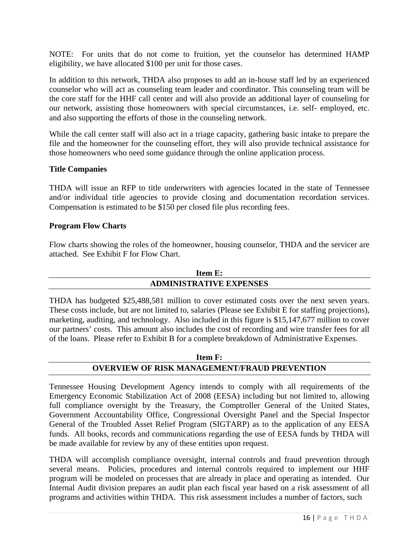NOTE: For units that do not come to fruition, yet the counselor has determined HAMP eligibility, we have allocated \$100 per unit for those cases.

In addition to this network, THDA also proposes to add an in-house staff led by an experienced counselor who will act as counseling team leader and coordinator. This counseling team will be the core staff for the HHF call center and will also provide an additional layer of counseling for our network, assisting those homeowners with special circumstances, i.e. self- employed, etc. and also supporting the efforts of those in the counseling network.

While the call center staff will also act in a triage capacity, gathering basic intake to prepare the file and the homeowner for the counseling effort, they will also provide technical assistance for those homeowners who need some guidance through the online application process.

#### **Title Companies**

THDA will issue an RFP to title underwriters with agencies located in the state of Tennessee and/or individual title agencies to provide closing and documentation recordation services. Compensation is estimated to be \$150 per closed file plus recording fees.

#### **Program Flow Charts**

Flow charts showing the roles of the homeowner, housing counselor, THDA and the servicer are attached. See Exhibit F for Flow Chart.

# **Item E: ADMINISTRATIVE EXPENSES**

THDA has budgeted \$25,488,581 million to cover estimated costs over the next seven years. These costs include, but are not limited to, salaries (Please see Exhibit E for staffing projections), marketing, auditing, and technology. Also included in this figure is \$15,147,677 million to cover our partners' costs. This amount also includes the cost of recording and wire transfer fees for all of the loans. Please refer to Exhibit B for a complete breakdown of Administrative Expenses.

## **Item F: OVERVIEW OF RISK MANAGEMENT/FRAUD PREVENTION**

Tennessee Housing Development Agency intends to comply with all requirements of the Emergency Economic Stabilization Act of 2008 (EESA) including but not limited to, allowing full compliance oversight by the Treasury, the Comptroller General of the United States, Government Accountability Office, Congressional Oversight Panel and the Special Inspector General of the Troubled Asset Relief Program (SIGTARP) as to the application of any EESA funds. All books, records and communications regarding the use of EESA funds by THDA will be made available for review by any of these entities upon request.

THDA will accomplish compliance oversight, internal controls and fraud prevention through several means. Policies, procedures and internal controls required to implement our HHF program will be modeled on processes that are already in place and operating as intended. Our Internal Audit division prepares an audit plan each fiscal year based on a risk assessment of all programs and activities within THDA. This risk assessment includes a number of factors, such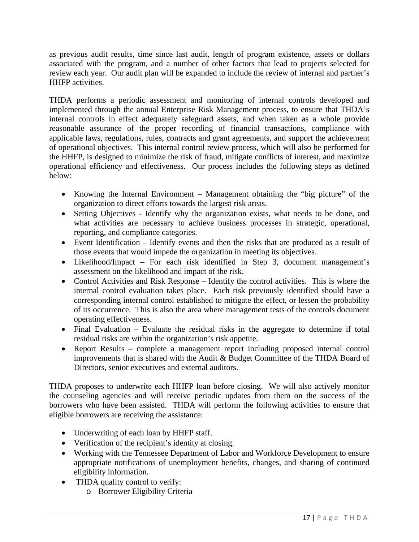as previous audit results, time since last audit, length of program existence, assets or dollars associated with the program, and a number of other factors that lead to projects selected for review each year. Our audit plan will be expanded to include the review of internal and partner's HHFP activities.

THDA performs a periodic assessment and monitoring of internal controls developed and implemented through the annual Enterprise Risk Management process, to ensure that THDA's internal controls in effect adequately safeguard assets, and when taken as a whole provide reasonable assurance of the proper recording of financial transactions, compliance with applicable laws, regulations, rules, contracts and grant agreements, and support the achievement of operational objectives. This internal control review process, which will also be performed for the HHFP, is designed to minimize the risk of fraud, mitigate conflicts of interest, and maximize operational efficiency and effectiveness. Our process includes the following steps as defined below:

- Knowing the Internal Environment Management obtaining the "big picture" of the organization to direct efforts towards the largest risk areas.
- Setting Objectives Identify why the organization exists, what needs to be done, and what activities are necessary to achieve business processes in strategic, operational, reporting, and compliance categories.
- Event Identification Identify events and then the risks that are produced as a result of those events that would impede the organization in meeting its objectives.
- Likelihood/Impact For each risk identified in Step 3, document management's assessment on the likelihood and impact of the risk.
- Control Activities and Risk Response Identify the control activities. This is where the internal control evaluation takes place. Each risk previously identified should have a corresponding internal control established to mitigate the effect, or lessen the probability of its occurrence. This is also the area where management tests of the controls document operating effectiveness.
- Final Evaluation Evaluate the residual risks in the aggregate to determine if total residual risks are within the organization's risk appetite.
- Report Results complete a management report including proposed internal control improvements that is shared with the Audit & Budget Committee of the THDA Board of Directors, senior executives and external auditors.

THDA proposes to underwrite each HHFP loan before closing. We will also actively monitor the counseling agencies and will receive periodic updates from them on the success of the borrowers who have been assisted. THDA will perform the following activities to ensure that eligible borrowers are receiving the assistance:

- Underwriting of each loan by HHFP staff.
- Verification of the recipient's identity at closing.
- Working with the Tennessee Department of Labor and Workforce Development to ensure appropriate notifications of unemployment benefits, changes, and sharing of continued eligibility information.
- THDA quality control to verify:
	- o Borrower Eligibility Criteria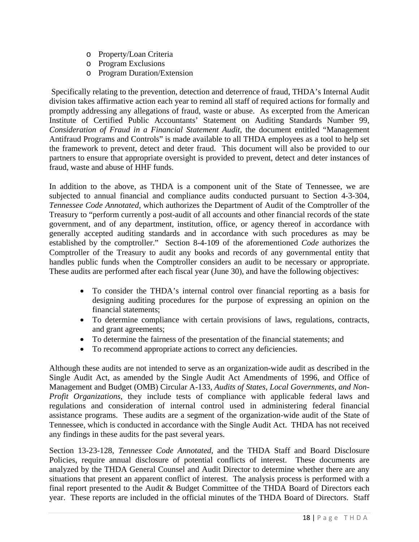- o Property/Loan Criteria
- o Program Exclusions
- o Program Duration/Extension

 Specifically relating to the prevention, detection and deterrence of fraud, THDA's Internal Audit division takes affirmative action each year to remind all staff of required actions for formally and promptly addressing any allegations of fraud, waste or abuse. As excerpted from the American Institute of Certified Public Accountants' Statement on Auditing Standards Number 99, *Consideration of Fraud in a Financial Statement Audit*, the document entitled "Management Antifraud Programs and Controls" is made available to all THDA employees as a tool to help set the framework to prevent, detect and deter fraud. This document will also be provided to our partners to ensure that appropriate oversight is provided to prevent, detect and deter instances of fraud, waste and abuse of HHF funds.

In addition to the above, as THDA is a component unit of the State of Tennessee, we are subjected to annual financial and compliance audits conducted pursuant to Section 4-3-304, *Tennessee Code Annotated*, which authorizes the Department of Audit of the Comptroller of the Treasury to "perform currently a post-audit of all accounts and other financial records of the state government, and of any department, institution, office, or agency thereof in accordance with generally accepted auditing standards and in accordance with such procedures as may be established by the comptroller." Section 8-4-109 of the aforementioned *Code* authorizes the Comptroller of the Treasury to audit any books and records of any governmental entity that handles public funds when the Comptroller considers an audit to be necessary or appropriate. These audits are performed after each fiscal year (June 30), and have the following objectives:

- To consider the THDA's internal control over financial reporting as a basis for designing auditing procedures for the purpose of expressing an opinion on the financial statements;
- To determine compliance with certain provisions of laws, regulations, contracts, and grant agreements;
- To determine the fairness of the presentation of the financial statements; and
- To recommend appropriate actions to correct any deficiencies.

Although these audits are not intended to serve as an organization-wide audit as described in the Single Audit Act, as amended by the Single Audit Act Amendments of 1996, and Office of Management and Budget (OMB) Circular A-133, *Audits of States, Local Governments, and Non-Profit Organizations*, they include tests of compliance with applicable federal laws and regulations and consideration of internal control used in administering federal financial assistance programs. These audits are a segment of the organization-wide audit of the State of Tennessee, which is conducted in accordance with the Single Audit Act. THDA has not received any findings in these audits for the past several years.

Section 13-23-128, *Tennessee Code Annotated*, and the THDA Staff and Board Disclosure Policies, require annual disclosure of potential conflicts of interest. These documents are analyzed by the THDA General Counsel and Audit Director to determine whether there are any situations that present an apparent conflict of interest. The analysis process is performed with a final report presented to the Audit & Budget Committee of the THDA Board of Directors each year. These reports are included in the official minutes of the THDA Board of Directors. Staff